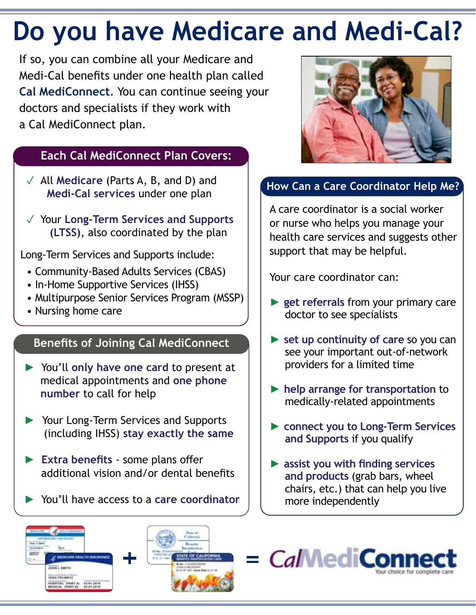# **Do you have Medicare and Medi-Cal?**

If so, you can combine all your Medicare and Medi-Cal benefits under one health plan called **Cal MediConnect**. You can continue seeing your doctors and specialists if they work with a Cal MediConnect plan.

#### **Each Cal MediConnect Plan Covers:**

- ✓ All **Medicare** (Parts A, B, and D) and **Medi-Cal services** under one plan
- ✓ Your **Long-Term Services and Supports (LTSS)**, also coordinated by the plan

Long-Term Services and Supports include:

- Community-Based Adults Services (CBAS)
- In-Home Supportive Services (IHSS)
- Multipurpose Senior Services Program (MSSP)
- Nursing home care

### **Benefits of Joining Cal MediConnect**

- ► You'll **only have one card** to present at medical appointments and **one phone number** to call for help
- ► Your Long-Term Services and Supports (including IHSS) **stay exactly the same**
- ► **Extra benefits** some plans offer additional vision and/or dental benefits
- ► You'll have access to a **care coordinator**



### **How Can a Care Coordinator Help Me?**

A care coordinator is a social worker or nurse who helps you manage your health care services and suggests other support that may be helpful.

Your care coordinator can:

- ► **get referrals** from your primary care doctor to see specialists
- ► **set up continuity of care** so you can see your important out-of-network providers for a limited time
- ► **help arrange for transportation** to medically-related appointments
- ► **connect you to Long-Term Services and Supports** if you qualify
- ► **assist you with finding services and products** (grab bars, wheel chairs, etc.) that can help you live more independently